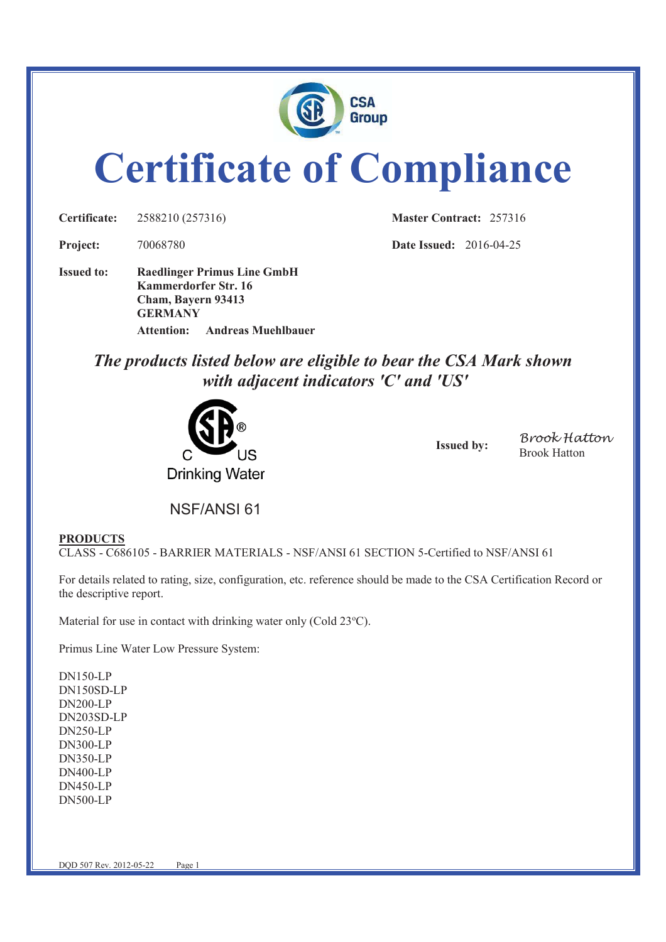

# **Certificate of Compliance**

**Certificate:** 2588210 (257316) **Master Contract:** 257316

**Project:** 70068780 **Date Issued:** 2016-04-25

**Issued to: Raedlinger Primus Line GmbH Kammerdorfer Str. 16 Cham, Bayern 93413 GERMANY Attention: Andreas Muehlbauer** 

> *The products listed below are eligible to bear the CSA Mark shown with adjacent indicators 'C' and 'US'*



**Issued by: Brook Hatton** Brook Hatton

NSF/ANSI 61

## **PRODUCTS**

CLASS - C686105 - BARRIER MATERIALS - NSF/ANSI 61 SECTION 5-Certified to NSF/ANSI 61

For details related to rating, size, configuration, etc. reference should be made to the CSA Certification Record or the descriptive report.

Material for use in contact with drinking water only (Cold  $23^{\circ}$ C).

Primus Line Water Low Pressure System:

DN150-LP DN150SD-LP DN200-LP DN203SD-LP DN250-LP DN300-LP DN350-LP DN400-LP DN450-LP DN500-LP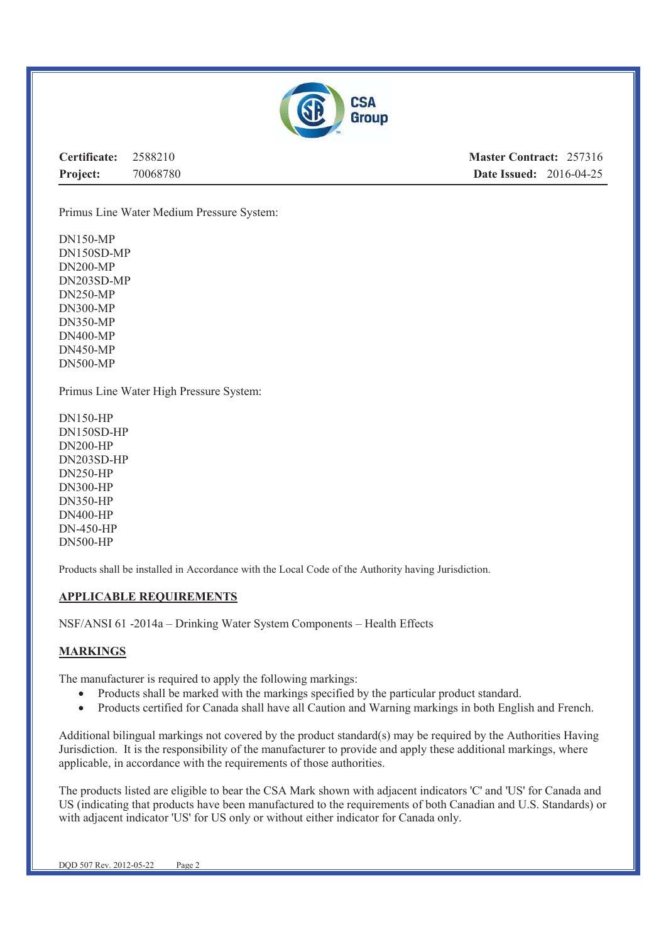

**Certificate:** 2588210 **Project:** 70068780 **Master Contract:** 257316 **Date Issued:** 2016-04-25

Primus Line Water Medium Pressure System:

DN150-MP DN150SD-MP DN200-MP DN203SD-MP DN250-MP DN300-MP DN350-MP DN400-MP DN450-MP DN500-MP

Primus Line Water High Pressure System:

DN150-HP DN150SD-HP DN200-HP DN203SD-HP DN250-HP DN300-HP DN350-HP DN400-HP DN-450-HP DN500-HP

Products shall be installed in Accordance with the Local Code of the Authority having Jurisdiction.

#### **APPLICABLE REQUIREMENTS**

NSF/ANSI 61 -2014a – Drinking Water System Components – Health Effects

#### **MARKINGS**

The manufacturer is required to apply the following markings:

- Products shall be marked with the markings specified by the particular product standard.
- · Products certified for Canada shall have all Caution and Warning markings in both English and French.

Additional bilingual markings not covered by the product standard(s) may be required by the Authorities Having Jurisdiction. It is the responsibility of the manufacturer to provide and apply these additional markings, where applicable, in accordance with the requirements of those authorities.

The products listed are eligible to bear the CSA Mark shown with adjacent indicators 'C' and 'US' for Canada and US (indicating that products have been manufactured to the requirements of both Canadian and U.S. Standards) or with adjacent indicator 'US' for US only or without either indicator for Canada only.